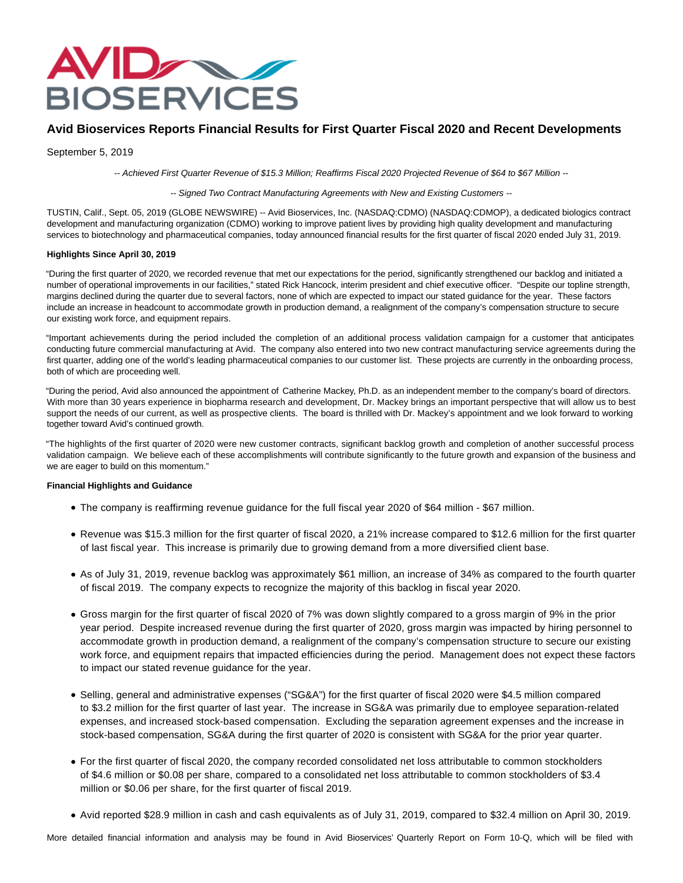

# **Avid Bioservices Reports Financial Results for First Quarter Fiscal 2020 and Recent Developments**

September 5, 2019

-- Achieved First Quarter Revenue of \$15.3 Million; Reaffirms Fiscal 2020 Projected Revenue of \$64 to \$67 Million --

-- Signed Two Contract Manufacturing Agreements with New and Existing Customers --

TUSTIN, Calif., Sept. 05, 2019 (GLOBE NEWSWIRE) -- Avid Bioservices, Inc. (NASDAQ:CDMO) (NASDAQ:CDMOP), a dedicated biologics contract development and manufacturing organization (CDMO) working to improve patient lives by providing high quality development and manufacturing services to biotechnology and pharmaceutical companies, today announced financial results for the first quarter of fiscal 2020 ended July 31, 2019.

## **Highlights Since April 30, 2019**

"During the first quarter of 2020, we recorded revenue that met our expectations for the period, significantly strengthened our backlog and initiated a number of operational improvements in our facilities," stated Rick Hancock, interim president and chief executive officer. "Despite our topline strength, margins declined during the quarter due to several factors, none of which are expected to impact our stated guidance for the year. These factors include an increase in headcount to accommodate growth in production demand, a realignment of the company's compensation structure to secure our existing work force, and equipment repairs.

"Important achievements during the period included the completion of an additional process validation campaign for a customer that anticipates conducting future commercial manufacturing at Avid. The company also entered into two new contract manufacturing service agreements during the first quarter, adding one of the world's leading pharmaceutical companies to our customer list. These projects are currently in the onboarding process, both of which are proceeding well.

"During the period, Avid also announced the appointment of Catherine Mackey, Ph.D. as an independent member to the company's board of directors. With more than 30 years experience in biopharma research and development, Dr. Mackey brings an important perspective that will allow us to best support the needs of our current, as well as prospective clients. The board is thrilled with Dr. Mackey's appointment and we look forward to working together toward Avid's continued growth.

"The highlights of the first quarter of 2020 were new customer contracts, significant backlog growth and completion of another successful process validation campaign. We believe each of these accomplishments will contribute significantly to the future growth and expansion of the business and we are eager to build on this momentum."

## **Financial Highlights and Guidance**

- The company is reaffirming revenue guidance for the full fiscal year 2020 of \$64 million \$67 million.
- Revenue was \$15.3 million for the first quarter of fiscal 2020, a 21% increase compared to \$12.6 million for the first quarter of last fiscal year. This increase is primarily due to growing demand from a more diversified client base.
- As of July 31, 2019, revenue backlog was approximately \$61 million, an increase of 34% as compared to the fourth quarter of fiscal 2019. The company expects to recognize the majority of this backlog in fiscal year 2020.
- Gross margin for the first quarter of fiscal 2020 of 7% was down slightly compared to a gross margin of 9% in the prior year period. Despite increased revenue during the first quarter of 2020, gross margin was impacted by hiring personnel to accommodate growth in production demand, a realignment of the company's compensation structure to secure our existing work force, and equipment repairs that impacted efficiencies during the period. Management does not expect these factors to impact our stated revenue guidance for the year.
- Selling, general and administrative expenses ("SG&A") for the first quarter of fiscal 2020 were \$4.5 million compared to \$3.2 million for the first quarter of last year. The increase in SG&A was primarily due to employee separation-related expenses, and increased stock-based compensation. Excluding the separation agreement expenses and the increase in stock-based compensation, SG&A during the first quarter of 2020 is consistent with SG&A for the prior year quarter.
- For the first quarter of fiscal 2020, the company recorded consolidated net loss attributable to common stockholders of \$4.6 million or \$0.08 per share, compared to a consolidated net loss attributable to common stockholders of \$3.4 million or \$0.06 per share, for the first quarter of fiscal 2019.
- Avid reported \$28.9 million in cash and cash equivalents as of July 31, 2019, compared to \$32.4 million on April 30, 2019.

More detailed financial information and analysis may be found in Avid Bioservices' Quarterly Report on Form 10-Q, which will be filed with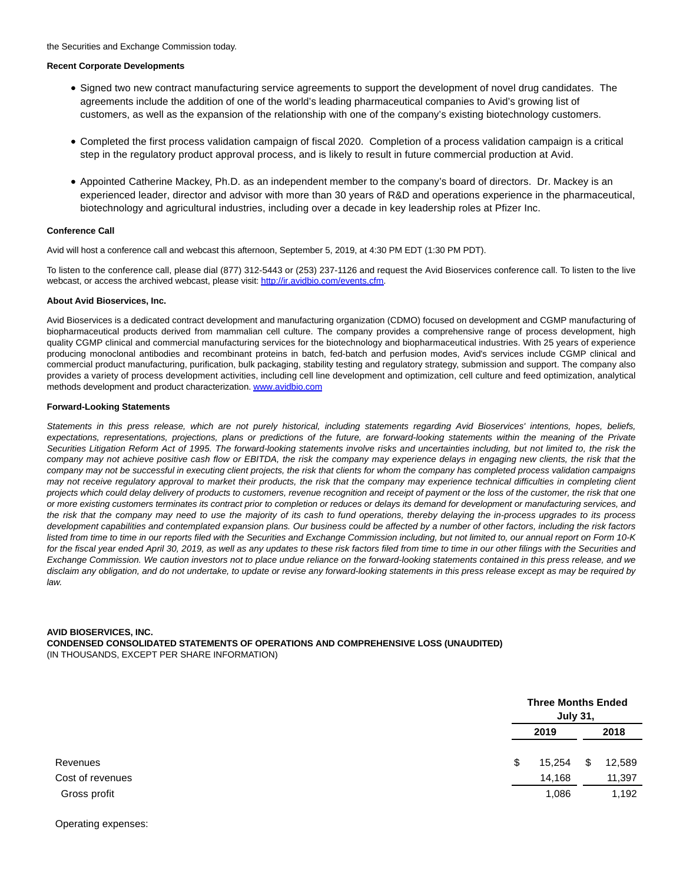### **Recent Corporate Developments**

- Signed two new contract manufacturing service agreements to support the development of novel drug candidates. The agreements include the addition of one of the world's leading pharmaceutical companies to Avid's growing list of customers, as well as the expansion of the relationship with one of the company's existing biotechnology customers.
- Completed the first process validation campaign of fiscal 2020. Completion of a process validation campaign is a critical step in the regulatory product approval process, and is likely to result in future commercial production at Avid.
- Appointed Catherine Mackey, Ph.D. as an independent member to the company's board of directors. Dr. Mackey is an experienced leader, director and advisor with more than 30 years of R&D and operations experience in the pharmaceutical, biotechnology and agricultural industries, including over a decade in key leadership roles at Pfizer Inc.

#### **Conference Call**

Avid will host a conference call and webcast this afternoon, September 5, 2019, at 4:30 PM EDT (1:30 PM PDT).

To listen to the conference call, please dial (877) 312-5443 or (253) 237-1126 and request the Avid Bioservices conference call. To listen to the live webcast, or access the archived webcast, please visit[: http://ir.avidbio.com/events.cfm.](https://www.globenewswire.com/Tracker?data=mNLUreVuGmwcMtUPRsSfVsN00tiqJyQYfcHiEFkaS75E15jDRNH731_rHd8zFSTaK6zZp2U5VBhuQ4PDhunJH-RfRQu-zmreBHobngJZdvJkJTP1b3HKaCMzncRNRvJYQIWIoV3m68YdBMulwrO0iirqwlf-wWNc20-UN2FEQCpTvMOBkn3tnJrnvcjUzIA9siDZDQpxCjKjHYgw95W4UWFc9fJHfxpOcBbRZ3P0X4wLc1zlCQdiA_FNvh9Pn-3xOQrjdq7YFNzXcPM0PMPkfZzGlMvBjiKWSsYWvhiotMBt4jThXeGYDk_OAK7iyHCD)

#### **About Avid Bioservices, Inc.**

Avid Bioservices is a dedicated contract development and manufacturing organization (CDMO) focused on development and CGMP manufacturing of biopharmaceutical products derived from mammalian cell culture. The company provides a comprehensive range of process development, high quality CGMP clinical and commercial manufacturing services for the biotechnology and biopharmaceutical industries. With 25 years of experience producing monoclonal antibodies and recombinant proteins in batch, fed-batch and perfusion modes, Avid's services include CGMP clinical and commercial product manufacturing, purification, bulk packaging, stability testing and regulatory strategy, submission and support. The company also provides a variety of process development activities, including cell line development and optimization, cell culture and feed optimization, analytical methods development and product characterization[. www.avidbio.com](https://www.globenewswire.com/Tracker?data=7DOBj1v6YFUuNhPs0HTt-cXdOMF7pYsDWX9j9zimrjXpCUPyRqQTpMxbpLrVDErMwHajoAFZMcV6-6jGKtEmEZ0_ii2u4iJNJhhUUU76Edkxcl460aLYFZp5vE6i5uNYzDHHICvdXGE-DzEunuOn9OgS9Iuch78R4DSWL87TSOQie2sHxXVGjL_hTEy_IxFfUDDDKy9VYJqGGYrHrU0Iw4Sn8nlwWLDqO5Xr_Wu_Vck=)

#### **Forward-Looking Statements**

Statements in this press release, which are not purely historical, including statements regarding Avid Bioservices' intentions, hopes, beliefs, expectations, representations, projections, plans or predictions of the future, are forward-looking statements within the meaning of the Private Securities Litigation Reform Act of 1995. The forward-looking statements involve risks and uncertainties including, but not limited to, the risk the company may not achieve positive cash flow or EBITDA, the risk the company may experience delays in engaging new clients, the risk that the company may not be successful in executing client projects, the risk that clients for whom the company has completed process validation campaigns may not receive regulatory approval to market their products, the risk that the company may experience technical difficulties in completing client projects which could delay delivery of products to customers, revenue recognition and receipt of payment or the loss of the customer, the risk that one or more existing customers terminates its contract prior to completion or reduces or delays its demand for development or manufacturing services, and the risk that the company may need to use the majority of its cash to fund operations, thereby delaying the in-process upgrades to its process development capabilities and contemplated expansion plans. Our business could be affected by a number of other factors, including the risk factors listed from time to time in our reports filed with the Securities and Exchange Commission including, but not limited to, our annual report on Form 10-K for the fiscal year ended April 30, 2019, as well as any updates to these risk factors filed from time to time in our other filings with the Securities and Exchange Commission. We caution investors not to place undue reliance on the forward-looking statements contained in this press release, and we disclaim any obligation, and do not undertake, to update or revise any forward-looking statements in this press release except as may be required by law.

## **AVID BIOSERVICES, INC. CONDENSED CONSOLIDATED STATEMENTS OF OPERATIONS AND COMPREHENSIVE LOSS (UNAUDITED)** (IN THOUSANDS, EXCEPT PER SHARE INFORMATION)

|          | <b>Three Months Ended</b><br><b>July 31,</b> |    |        |
|----------|----------------------------------------------|----|--------|
|          | 2019                                         |    | 2018   |
| Revenues | \$<br>15,254                                 | \$ | 12,589 |
|          | 14,168                                       |    | 11,397 |
|          | 1,086                                        |    | 1,192  |

Operating expenses: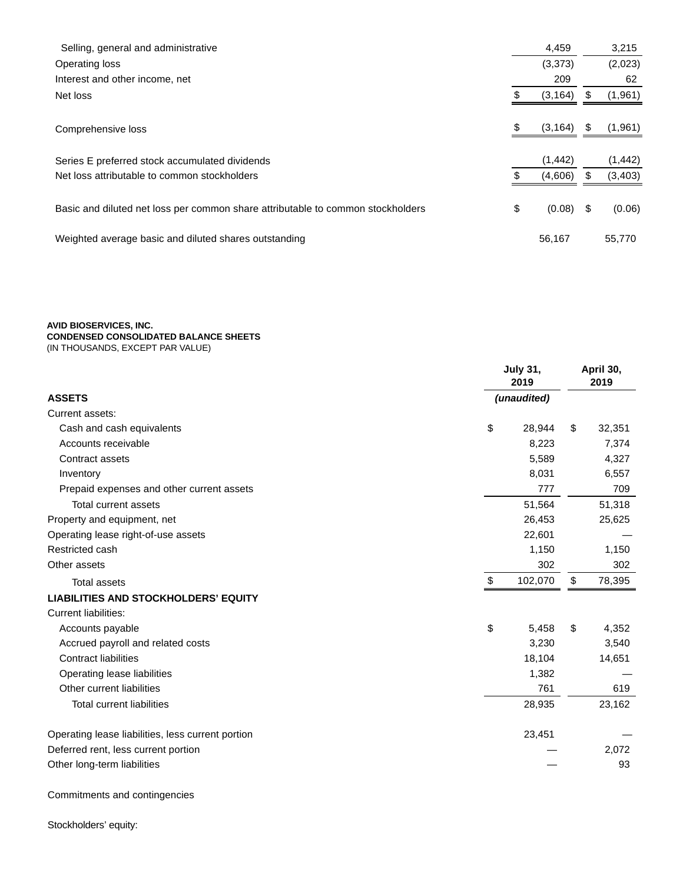| Selling, general and administrative                                             | 4,459          |    | 3,215    |
|---------------------------------------------------------------------------------|----------------|----|----------|
| Operating loss                                                                  | (3,373)        |    | (2,023)  |
| Interest and other income, net                                                  | 209            |    | 62       |
| Net loss                                                                        | (3, 164)       | S  | (1, 961) |
|                                                                                 |                |    |          |
| Comprehensive loss                                                              | \$<br>(3, 164) | S  | (1,961)  |
|                                                                                 |                |    |          |
| Series E preferred stock accumulated dividends                                  | (1, 442)       |    | (1, 442) |
| Net loss attributable to common stockholders                                    | (4,606)        | \$ | (3, 403) |
|                                                                                 |                |    |          |
| Basic and diluted net loss per common share attributable to common stockholders | \$<br>(0.08)   | \$ | (0.06)   |
|                                                                                 |                |    |          |
| Weighted average basic and diluted shares outstanding                           | 56,167         |    | 55,770   |
|                                                                                 |                |    |          |

**AVID BIOSERVICES, INC.**

# **CONDENSED CONSOLIDATED BALANCE SHEETS**

(IN THOUSANDS, EXCEPT PAR VALUE)

|                                                   | <b>July 31,</b><br>2019 |     | April 30,<br>2019 |  |
|---------------------------------------------------|-------------------------|-----|-------------------|--|
| <b>ASSETS</b>                                     | (unaudited)             |     |                   |  |
| Current assets:                                   |                         |     |                   |  |
| Cash and cash equivalents                         | \$<br>28,944            |     | \$<br>32,351      |  |
| Accounts receivable                               | 8,223                   |     | 7,374             |  |
| Contract assets                                   | 5,589                   |     | 4,327             |  |
| Inventory                                         | 8,031                   |     | 6,557             |  |
| Prepaid expenses and other current assets         |                         | 777 | 709               |  |
| Total current assets                              | 51,564                  |     | 51,318            |  |
| Property and equipment, net                       | 26,453                  |     | 25,625            |  |
| Operating lease right-of-use assets               | 22,601                  |     |                   |  |
| Restricted cash                                   | 1,150                   |     | 1,150             |  |
| Other assets                                      |                         | 302 | 302               |  |
| <b>Total assets</b>                               | 102,070<br>\$           |     | 78,395<br>\$      |  |
| <b>LIABILITIES AND STOCKHOLDERS' EQUITY</b>       |                         |     |                   |  |
| <b>Current liabilities:</b>                       |                         |     |                   |  |
| Accounts payable                                  | \$<br>5,458             |     | \$<br>4,352       |  |
| Accrued payroll and related costs                 | 3,230                   |     | 3,540             |  |
| <b>Contract liabilities</b>                       | 18,104                  |     | 14,651            |  |
| Operating lease liabilities                       | 1,382                   |     |                   |  |
| Other current liabilities                         |                         | 761 | 619               |  |
| <b>Total current liabilities</b>                  | 28,935                  |     | 23,162            |  |
| Operating lease liabilities, less current portion | 23,451                  |     |                   |  |
| Deferred rent, less current portion               |                         |     | 2,072             |  |
| Other long-term liabilities                       |                         |     | 93                |  |

Commitments and contingencies

Stockholders' equity: